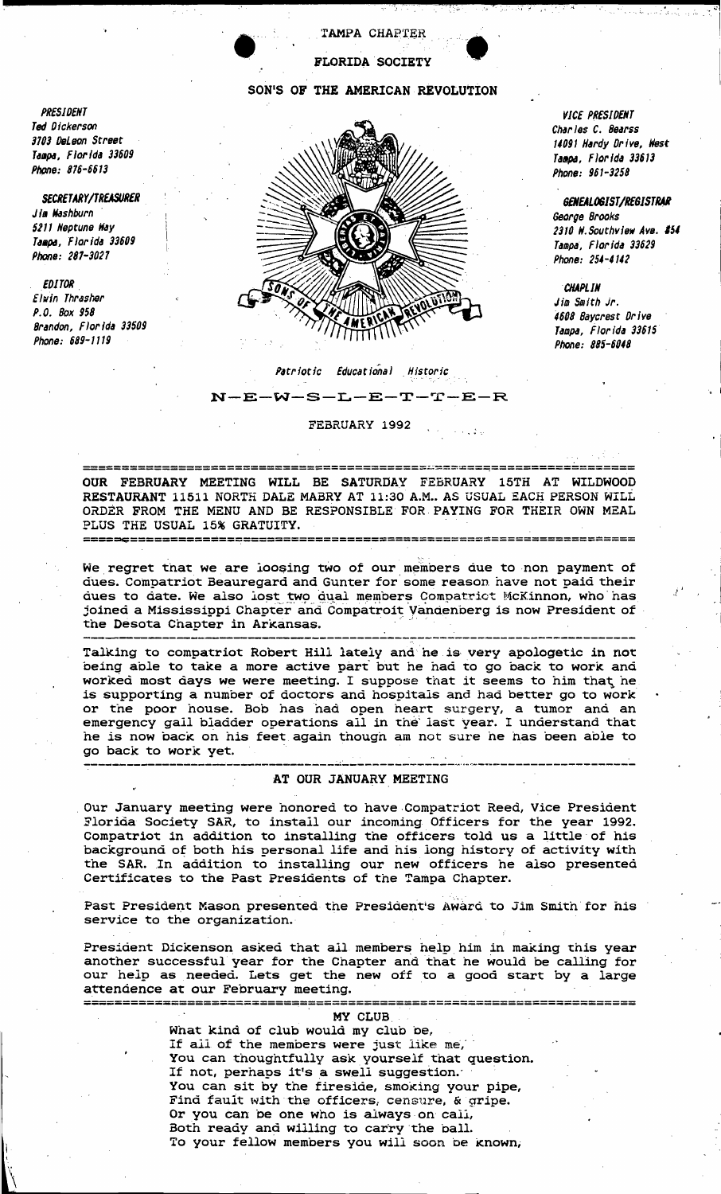**TAMPA CHAPTER** 

**FLORIDA SOCIETY** 

## SON'S OF THE AMERICAN REVOLUTION

VICE PRESIDENT Charles C. Bearss 14091 Hardy Drive, West Tampa, Florida 33613 Phone: 961-3258

GENEALOGIST/REGISTRAR George Brooks 2310 W. Southview Ave. #54 Tampa, Florida 33629 Phone: 254-4142

**CHAPLIN** Jim Smith Jr. 4608 Baycrest Drive Tampa, Florida 33615 Phone: 885-6048

## Patriotic Educational Historic

 $N-E-W-S-L-E-T-T-E-R$ 

FEBRUARY 1992

OUR FEBRUARY MEETING WILL BE SATURDAY FEBRUARY 15TH AT WILDWOOD RESTAURANT 11511 NORTH DALE MABRY AT 11:30 A.M.. AS USUAL EACH PERSON WILL ORDER FROM THE MENU AND BE RESPONSIBLE FOR PAYING FOR THEIR OWN MEAL PLUS THE USUAL 15% GRATUITY. -------**---------**---------

We regret that we are loosing two of our members due to non payment of dues. Compatriot Beauregard and Gunter for some reason have not paid their dues to date. We also lost two dual members Compatrict McKinnon, who has joined a Mississippi Chapter and Compatroit Vandenberg is now President of the Desota Chapter in Arkansas.

Talking to compatriot Robert Hill lately and he is very apologetic in not being able to take a more active part but he had to go back to work and worked most days we were meeting. I suppose that it seems to him that he is supporting a number of doctors and hospitals and had better go to work or the poor house. Bob has had open heart surgery, a tumor and an emergency gail bladder operations all in the last year. I understand that he is now back on his feet again though am not sure he has been able to go back to work yet.

## AT OUR JANUARY MEETING

Our January meeting were honored to have Compatriot Reed, Vice President Florida Society SAR, to install our incoming Officers for the year 1992. Compatriot in addition to installing the officers told us a little of his background of both his personal life and his long history of activity with the SAR. In addition to installing our new officers he also presented Certificates to the Past Presidents of the Tampa Chapter.

Past President Mason presented the President's Award to Jim Smith for his service to the organization.

President Dickenson asked that all members help him in making this year another successful year for the Chapter and that he would be calling for our help as needed. Lets get the new off to a good start by a large attendence at our February meeting. 

| MY CLUB                                          |     |  |
|--------------------------------------------------|-----|--|
| What kind of club would my club be,              |     |  |
| If all of the members were just like me,         | . . |  |
| You can thoughtfully ask yourself that question. |     |  |
| If not, perhaps it's a swell suggestion.         |     |  |
| You can sit by the fireside, smoking your pipe,  |     |  |
| Find fault with the officers, censure, & gripe.  |     |  |
| Or you can be one who is always on call,         |     |  |
| Both ready and willing to carry the ball.        |     |  |
| To your fellow members you will soon be known,   |     |  |
|                                                  |     |  |

PRESIDENT Ted Dickerson 3703 DeLeon Street Tampa, Florida 33609 Phone: 876-6613

SECRETARY/TREASURER Jim Washburn 5211 Neptune Way Tampa, Florida 33609 Phone: 287-3027

**EDITOR** Elwin Thrasher P.O. Box 958 Brandon, Florida 33509

Phone: 689-1119